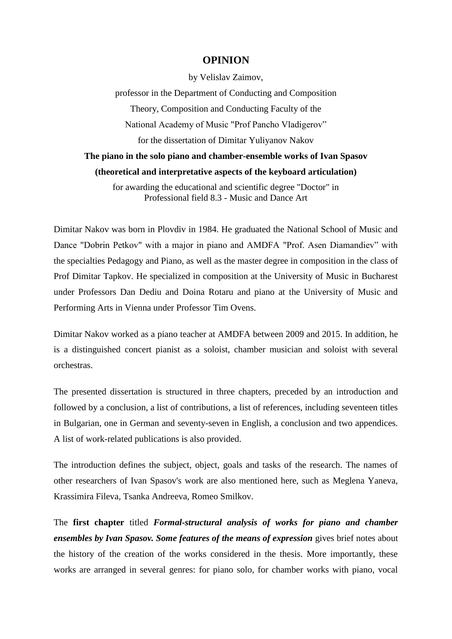## **OPINION**

by Velislav Zaimov,

professor in the Department of Conducting and Composition Theory, Composition and Conducting Faculty of the National Academy of Music "Prof Pancho Vladigerov" for the dissertation of Dimitar Yuliyanov Nakov

## **The piano in the solo piano and chamber-ensemble works of Ivan Spasov (theoretical and interpretative aspects of the keyboard articulation)**

for awarding the educational and scientific degree "Doctor" in Professional field 8.3 - Music and Dance Art

Dimitar Nakov was born in Plovdiv in 1984. He graduated the National School of Music and Dance "Dobrin Petkov" with a major in piano and AMDFA "Prof. Asen Diamandiev" with the specialties Pedagogy and Piano, as well as the master degree in composition in the class of Prof Dimitar Tapkov. He specialized in composition at the University of Music in Bucharest under Professors Dan Dediu and Doina Rotaru and piano at the University of Music and Performing Arts in Vienna under Professor Tim Ovens.

Dimitar Nakov worked as a piano teacher at AMDFA between 2009 and 2015. In addition, he is a distinguished concert pianist as a soloist, chamber musician and soloist with several orchestras.

The presented dissertation is structured in three chapters, preceded by an introduction and followed by a conclusion, a list of contributions, a list of references, including seventeen titles in Bulgarian, one in German and seventy-seven in English, a conclusion and two appendices. A list of work-related publications is also provided.

The introduction defines the subject, object, goals and tasks of the research. The names of other researchers of Ivan Spasov's work are also mentioned here, such as Meglena Yaneva, Krassimira Fileva, Tsanka Andreeva, Romeo Smilkov.

The **first chapter** titled *Formal-structural analysis of works for piano and chamber ensembles by Ivan Spasov. Some features of the means of expression* gives brief notes about the history of the creation of the works considered in the thesis. More importantly, these works are arranged in several genres: for piano solo, for chamber works with piano, vocal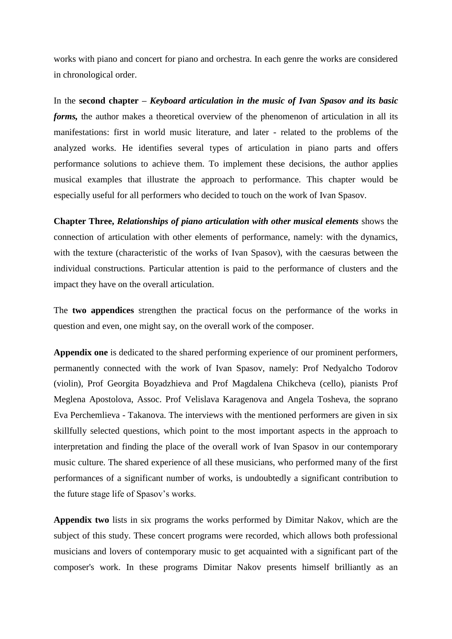works with piano and concert for piano and orchestra. In each genre the works are considered in chronological order.

In the **second chapter –** *Keyboard articulation in the music of Ivan Spasov and its basic forms,* the author makes a theoretical overview of the phenomenon of articulation in all its manifestations: first in world music literature, and later - related to the problems of the analyzed works. He identifies several types of articulation in piano parts and offers performance solutions to achieve them. To implement these decisions, the author applies musical examples that illustrate the approach to performance. This chapter would be especially useful for all performers who decided to touch on the work of Ivan Spasov.

**Chapter Three,** *Relationships of piano articulation with other musical elements* shows the connection of articulation with other elements of performance, namely: with the dynamics, with the texture (characteristic of the works of Ivan Spasov), with the caesuras between the individual constructions. Particular attention is paid to the performance of clusters and the impact they have on the overall articulation.

The **two appendices** strengthen the practical focus on the performance of the works in question and even, one might say, on the overall work of the composer.

**Appendix one** is dedicated to the shared performing experience of our prominent performers, permanently connected with the work of Ivan Spasov, namely: Prof Nedyalcho Todorov (violin), Prof Georgita Boyadzhieva and Prof Magdalena Chikcheva (cello), pianists Prof Meglena Apostolova, Assoc. Prof Velislava Karagenova and Angela Tosheva, the soprano Eva Perchemlieva - Takanova. The interviews with the mentioned performers are given in six skillfully selected questions, which point to the most important aspects in the approach to interpretation and finding the place of the overall work of Ivan Spasov in our contemporary music culture. The shared experience of all these musicians, who performed many of the first performances of a significant number of works, is undoubtedly a significant contribution to the future stage life of Spasov's works.

**Appendix two** lists in six programs the works performed by Dimitar Nakov, which are the subject of this study. These concert programs were recorded, which allows both professional musicians and lovers of contemporary music to get acquainted with a significant part of the composer's work. In these programs Dimitar Nakov presents himself brilliantly as an